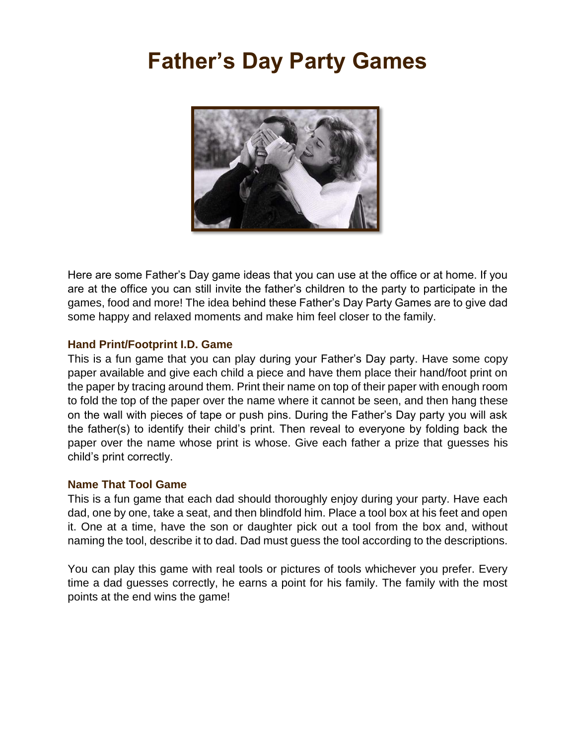# **Father's Day Party Games**



Here are some Father's Day game ideas that you can use at the office or at home. If you are at the office you can still invite the father's children to the party to participate in the games, food and more! The idea behind these Father's Day Party Games are to give dad some happy and relaxed moments and make him feel closer to the family.

# **Hand Print/Footprint I.D. Game**

This is a fun game that you can play during your Father's Day party. Have some copy paper available and give each child a piece and have them place their hand/foot print on the paper by tracing around them. Print their name on top of their paper with enough room to fold the top of the paper over the name where it cannot be seen, and then hang these on the wall with pieces of tape or push pins. During the Father's Day party you will ask the father(s) to identify their child's print. Then reveal to everyone by folding back the paper over the name whose print is whose. Give each father a prize that guesses his child's print correctly.

#### **Name That Tool Game**

This is a fun game that each dad should thoroughly enjoy during your party. Have each dad, one by one, take a seat, and then blindfold him. Place a tool box at his feet and open it. One at a time, have the son or daughter pick out a tool from the box and, without naming the tool, describe it to dad. Dad must guess the tool according to the descriptions.

You can play this game with real tools or pictures of tools whichever you prefer. Every time a dad guesses correctly, he earns a point for his family. The family with the most points at the end wins the game!